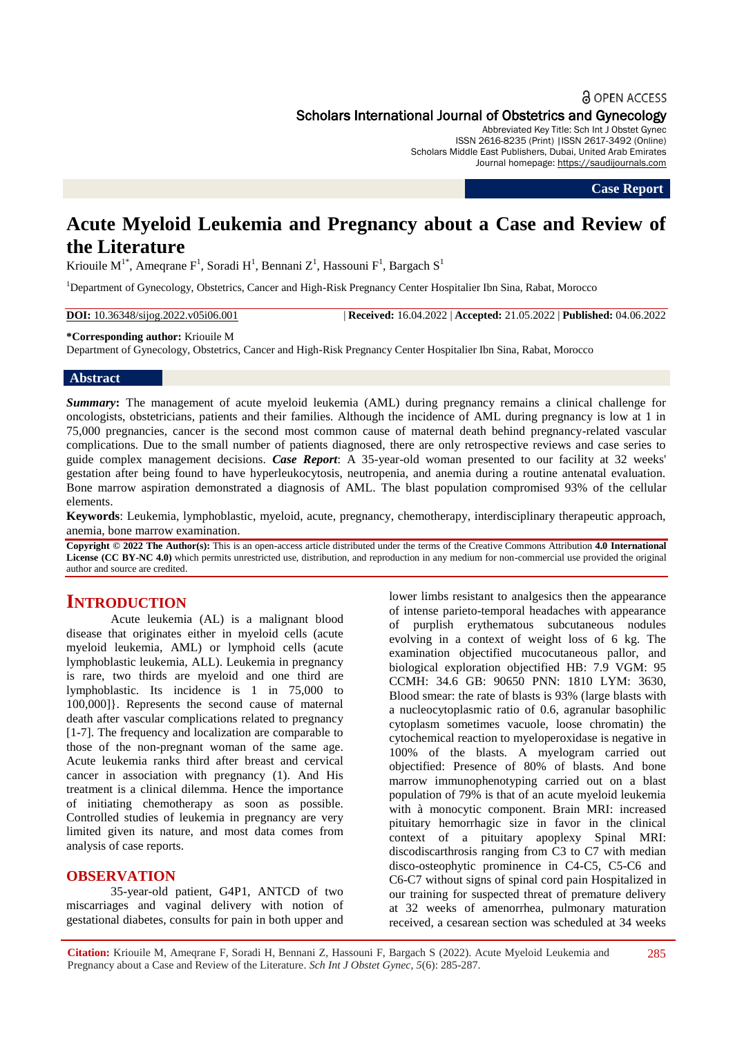## **a** OPEN ACCESS

Scholars International Journal of Obstetrics and Gynecology

Abbreviated Key Title: Sch Int J Obstet Gynec ISSN 2616-8235 (Print) |ISSN 2617-3492 (Online) Scholars Middle East Publishers, Dubai, United Arab Emirates Journal homepage: [https://saudijournals.com](https://saudijournals.com/sijog)

**Case Report**

# **Acute Myeloid Leukemia and Pregnancy about a Case and Review of the Literature**

Kriouile M<sup>1\*</sup>, Ameqrane F<sup>1</sup>, Soradi H<sup>1</sup>, Bennani Z<sup>1</sup>, Hassouni F<sup>1</sup>, Bargach S<sup>1</sup>

<sup>1</sup>Department of Gynecology, Obstetrics, Cancer and High-Risk Pregnancy Center Hospitalier Ibn Sina, Rabat, Morocco

**DOI:** 10.36348/sijog.2022.v05i06.001 | **Received:** 16.04.2022 | **Accepted:** 21.05.2022 | **Published:** 04.06.2022

#### **\*Corresponding author:** Kriouile M

Department of Gynecology, Obstetrics, Cancer and High-Risk Pregnancy Center Hospitalier Ibn Sina, Rabat, Morocco

## **Abstract**

*Summary***:** The management of acute myeloid leukemia (AML) during pregnancy remains a clinical challenge for oncologists, obstetricians, patients and their families. Although the incidence of AML during pregnancy is low at 1 in 75,000 pregnancies, cancer is the second most common cause of maternal death behind pregnancy-related vascular complications. Due to the small number of patients diagnosed, there are only retrospective reviews and case series to guide complex management decisions. *Case Report*: A 35-year-old woman presented to our facility at 32 weeks' gestation after being found to have hyperleukocytosis, neutropenia, and anemia during a routine antenatal evaluation. Bone marrow aspiration demonstrated a diagnosis of AML. The blast population compromised 93% of the cellular elements.

**Keywords**: Leukemia, lymphoblastic, myeloid, acute, pregnancy, chemotherapy, interdisciplinary therapeutic approach, anemia, bone marrow examination.

**Copyright © 2022 The Author(s):** This is an open-access article distributed under the terms of the Creative Commons Attribution **4.0 International License (CC BY-NC 4.0)** which permits unrestricted use, distribution, and reproduction in any medium for non-commercial use provided the original author and source are credited.

## **INTRODUCTION**

Acute leukemia (AL) is a malignant blood disease that originates either in myeloid cells (acute myeloid leukemia, AML) or lymphoid cells (acute lymphoblastic leukemia, ALL). Leukemia in pregnancy is rare, two thirds are myeloid and one third are lymphoblastic. Its incidence is 1 in 75,000 to 100,000]}. Represents the second cause of maternal death after vascular complications related to pregnancy [1-7]. The frequency and localization are comparable to those of the non-pregnant woman of the same age. Acute leukemia ranks third after breast and cervical cancer in association with pregnancy (1). And His treatment is a clinical dilemma. Hence the importance of initiating chemotherapy as soon as possible. Controlled studies of leukemia in pregnancy are very limited given its nature, and most data comes from analysis of case reports.

## **OBSERVATION**

35-year-old patient, G4P1, ANTCD of two miscarriages and vaginal delivery with notion of gestational diabetes, consults for pain in both upper and

lower limbs resistant to analgesics then the appearance of intense parieto-temporal headaches with appearance of purplish erythematous subcutaneous nodules evolving in a context of weight loss of 6 kg. The examination objectified mucocutaneous pallor, and biological exploration objectified HB: 7.9 VGM: 95 CCMH: 34.6 GB: 90650 PNN: 1810 LYM: 3630, Blood smear: the rate of blasts is 93% (large blasts with a nucleocytoplasmic ratio of 0.6, agranular basophilic cytoplasm sometimes vacuole, loose chromatin) the cytochemical reaction to myeloperoxidase is negative in 100% of the blasts. A myelogram carried out objectified: Presence of 80% of blasts. And bone marrow immunophenotyping carried out on a blast population of 79% is that of an acute myeloid leukemia with à monocytic component. Brain MRI: increased pituitary hemorrhagic size in favor in the clinical context of a pituitary apoplexy Spinal MRI: discodiscarthrosis ranging from C3 to C7 with median disco-osteophytic prominence in C4-C5, C5-C6 and C6-C7 without signs of spinal cord pain Hospitalized in our training for suspected threat of premature delivery at 32 weeks of amenorrhea, pulmonary maturation received, a cesarean section was scheduled at 34 weeks

**Citation:** Kriouile M, Ameqrane F, Soradi H, Bennani Z, Hassouni F, Bargach S (2022). Acute Myeloid Leukemia and Pregnancy about a Case and Review of the Literature. *Sch Int J Obstet Gynec, 5*(6): 285-287. 285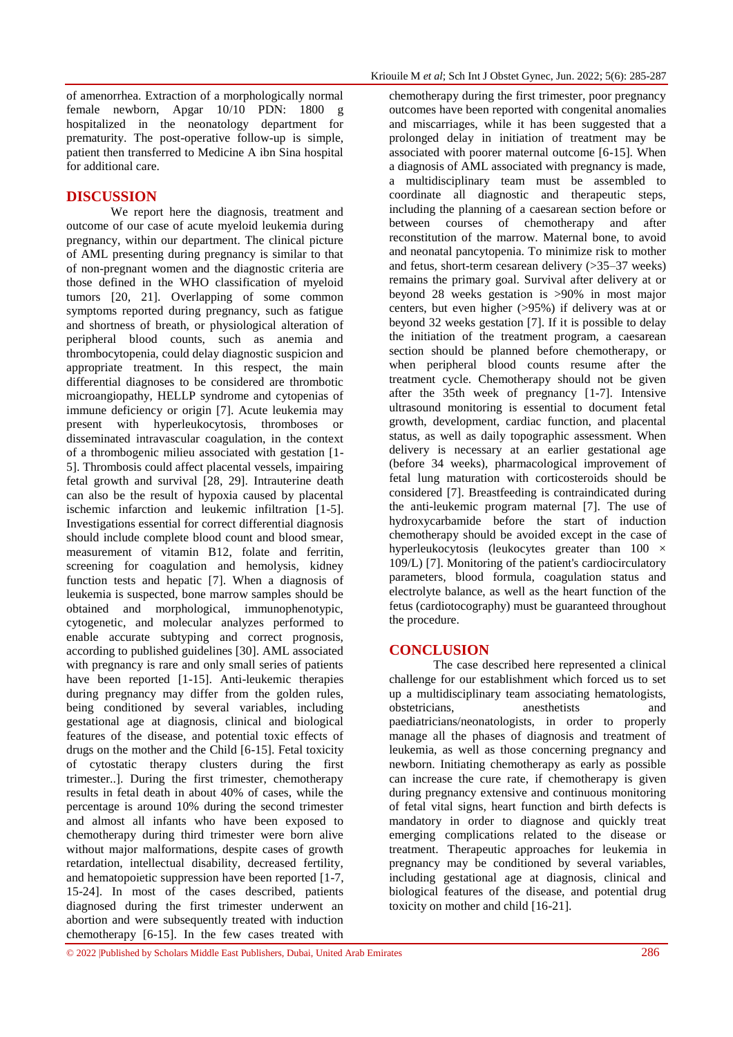of amenorrhea. Extraction of a morphologically normal female newborn, Apgar 10/10 PDN: 1800 g hospitalized in the neonatology department for prematurity. The post-operative follow-up is simple, patient then transferred to Medicine A ibn Sina hospital for additional care.

## **DISCUSSION**

We report here the diagnosis, treatment and outcome of our case of acute myeloid leukemia during pregnancy, within our department. The clinical picture of AML presenting during pregnancy is similar to that of non-pregnant women and the diagnostic criteria are those defined in the WHO classification of myeloid tumors [20, 21]. Overlapping of some common symptoms reported during pregnancy, such as fatigue and shortness of breath, or physiological alteration of peripheral blood counts, such as anemia and thrombocytopenia, could delay diagnostic suspicion and appropriate treatment. In this respect, the main differential diagnoses to be considered are thrombotic microangiopathy, HELLP syndrome and cytopenias of immune deficiency or origin [7]. Acute leukemia may present with hyperleukocytosis, thromboses or disseminated intravascular coagulation, in the context of a thrombogenic milieu associated with gestation [1- 5]. Thrombosis could affect placental vessels, impairing fetal growth and survival [28, 29]. Intrauterine death can also be the result of hypoxia caused by placental ischemic infarction and leukemic infiltration [1-5]. Investigations essential for correct differential diagnosis should include complete blood count and blood smear, measurement of vitamin B12, folate and ferritin, screening for coagulation and hemolysis, kidney function tests and hepatic [7]. When a diagnosis of leukemia is suspected, bone marrow samples should be obtained and morphological, immunophenotypic, cytogenetic, and molecular analyzes performed to enable accurate subtyping and correct prognosis, according to published guidelines [30]. AML associated with pregnancy is rare and only small series of patients have been reported [1-15]. Anti-leukemic therapies during pregnancy may differ from the golden rules, being conditioned by several variables, including gestational age at diagnosis, clinical and biological features of the disease, and potential toxic effects of drugs on the mother and the Child [6-15]. Fetal toxicity of cytostatic therapy clusters during the first trimester..]. During the first trimester, chemotherapy results in fetal death in about 40% of cases, while the percentage is around 10% during the second trimester and almost all infants who have been exposed to chemotherapy during third trimester were born alive without major malformations, despite cases of growth retardation, intellectual disability, decreased fertility, and hematopoietic suppression have been reported [1-7, 15-24]. In most of the cases described, patients diagnosed during the first trimester underwent an abortion and were subsequently treated with induction chemotherapy [6-15]. In the few cases treated with

chemotherapy during the first trimester, poor pregnancy outcomes have been reported with congenital anomalies and miscarriages, while it has been suggested that a prolonged delay in initiation of treatment may be associated with poorer maternal outcome [6-15]. When a diagnosis of AML associated with pregnancy is made, a multidisciplinary team must be assembled to coordinate all diagnostic and therapeutic steps, including the planning of a caesarean section before or between courses of chemotherapy and after reconstitution of the marrow. Maternal bone, to avoid and neonatal pancytopenia. To minimize risk to mother and fetus, short-term cesarean delivery (>35–37 weeks) remains the primary goal. Survival after delivery at or beyond 28 weeks gestation is >90% in most major centers, but even higher (>95%) if delivery was at or beyond 32 weeks gestation [7]. If it is possible to delay the initiation of the treatment program, a caesarean section should be planned before chemotherapy, or when peripheral blood counts resume after the treatment cycle. Chemotherapy should not be given after the 35th week of pregnancy [1-7]. Intensive ultrasound monitoring is essential to document fetal growth, development, cardiac function, and placental status, as well as daily topographic assessment. When delivery is necessary at an earlier gestational age (before 34 weeks), pharmacological improvement of fetal lung maturation with corticosteroids should be considered [7]. Breastfeeding is contraindicated during the anti-leukemic program maternal [7]. The use of hydroxycarbamide before the start of induction chemotherapy should be avoided except in the case of hyperleukocytosis (leukocytes greater than 100 × 109/L) [7]. Monitoring of the patient's cardiocirculatory parameters, blood formula, coagulation status and electrolyte balance, as well as the heart function of the fetus (cardiotocography) must be guaranteed throughout the procedure.

## **CONCLUSION**

The case described here represented a clinical challenge for our establishment which forced us to set up a multidisciplinary team associating hematologists, obstetricians, anesthetists and paediatricians/neonatologists, in order to properly manage all the phases of diagnosis and treatment of leukemia, as well as those concerning pregnancy and newborn. Initiating chemotherapy as early as possible can increase the cure rate, if chemotherapy is given during pregnancy extensive and continuous monitoring of fetal vital signs, heart function and birth defects is mandatory in order to diagnose and quickly treat emerging complications related to the disease or treatment. Therapeutic approaches for leukemia in pregnancy may be conditioned by several variables, including gestational age at diagnosis, clinical and biological features of the disease, and potential drug toxicity on mother and child [16-21].